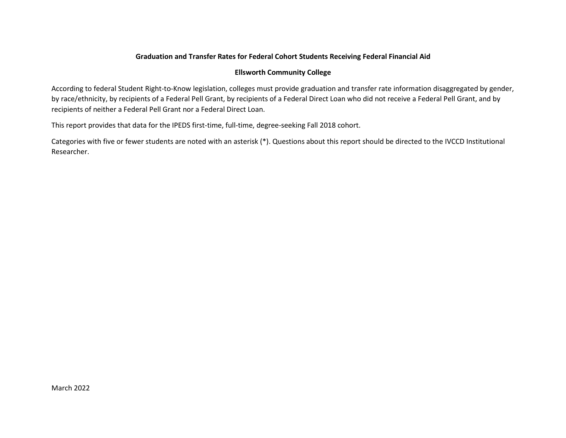## Graduation and Transfer Rates for Federal Cohort Students Receiving Federal Financial Aid

## Ellsworth Community College

According to federal Student Right-to-Know legislation, colleges must provide graduation and transfer rate information disaggregated by gender, by race/ethnicity, by recipients of a Federal Pell Grant, by recipients of a Federal Direct Loan who did not receive a Federal Pell Grant, and by recipients of neither a Federal Pell Grant nor a Federal Direct Loan.

This report provides that data for the IPEDS first-time, full-time, degree-seeking Fall 2018 cohort.

Categories with five or fewer students are noted with an asterisk (\*). Questions about this report should be directed to the IVCCD Institutional Researcher.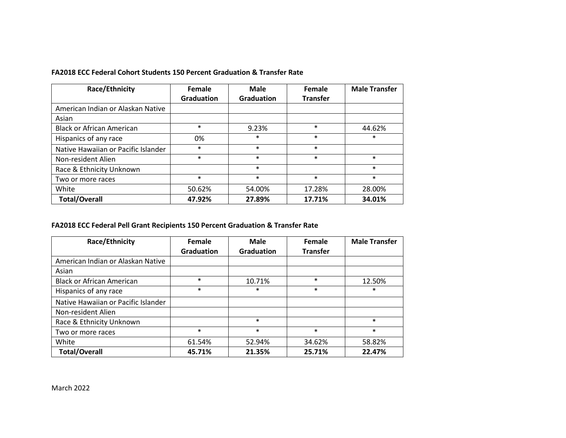### FA2018 ECC Federal Cohort Students 150 Percent Graduation & Transfer Rate

| Race/Ethnicity                      | Female            | Male              | Female          | <b>Male Transfer</b> |
|-------------------------------------|-------------------|-------------------|-----------------|----------------------|
|                                     | <b>Graduation</b> | <b>Graduation</b> | <b>Transfer</b> |                      |
| American Indian or Alaskan Native   |                   |                   |                 |                      |
| Asian                               |                   |                   |                 |                      |
| <b>Black or African American</b>    | $\ast$            | 9.23%             | $\ast$          | 44.62%               |
| Hispanics of any race               | 0%                | *                 | $\ast$          | $\ast$               |
| Native Hawaiian or Pacific Islander | $\ast$            | $\ast$            | $\ast$          |                      |
| Non-resident Alien                  | $\ast$            | $\ast$            | $\ast$          | $\ast$               |
| Race & Ethnicity Unknown            |                   | $\ast$            |                 | $\ast$               |
| Two or more races                   | $\ast$            | $\ast$            | $\ast$          | $\ast$               |
| White                               | 50.62%            | 54.00%            | 17.28%          | 28.00%               |
| <b>Total/Overall</b>                | 47.92%            | 27.89%            | 17.71%          | 34.01%               |

# FA2018 ECC Federal Pell Grant Recipients 150 Percent Graduation & Transfer Rate

| <b>Race/Ethnicity</b>               | Female            | <b>Male</b>       | Female          | <b>Male Transfer</b> |
|-------------------------------------|-------------------|-------------------|-----------------|----------------------|
|                                     | <b>Graduation</b> | <b>Graduation</b> | <b>Transfer</b> |                      |
| American Indian or Alaskan Native   |                   |                   |                 |                      |
| Asian                               |                   |                   |                 |                      |
| <b>Black or African American</b>    | $\ast$            | 10.71%            | $\ast$          | 12.50%               |
| Hispanics of any race               | $\ast$            | $\ast$            | $\ast$          | $\ast$               |
| Native Hawaiian or Pacific Islander |                   |                   |                 |                      |
| Non-resident Alien                  |                   |                   |                 |                      |
| Race & Ethnicity Unknown            |                   | $\ast$            |                 | $\ast$               |
| Two or more races                   | $\ast$            | $\ast$            | $\ast$          | $\ast$               |
| White                               | 61.54%            | 52.94%            | 34.62%          | 58.82%               |
| <b>Total/Overall</b>                | 45.71%            | 21.35%            | 25.71%          | 22.47%               |